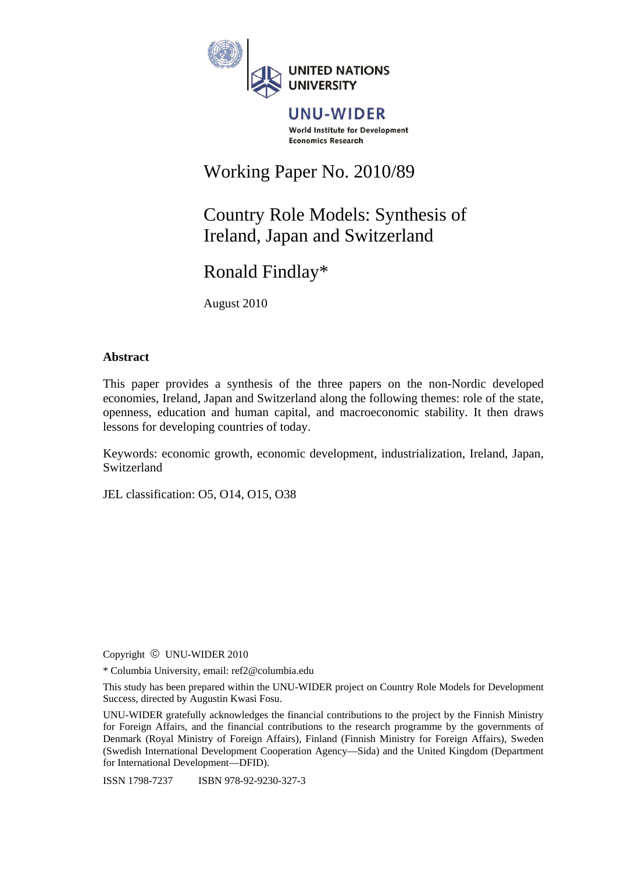

#### UNU-WIDER World Institute for Development **Economics Research**

# Working Paper No. 2010/89

# Country Role Models: Synthesis of Ireland, Japan and Switzerland

## Ronald Findlay\*

August 2010

### **Abstract**

This paper provides a synthesis of the three papers on the non-Nordic developed economies, Ireland, Japan and Switzerland along the following themes: role of the state, openness, education and human capital, and macroeconomic stability. It then draws lessons for developing countries of today.

Keywords: economic growth, economic development, industrialization, Ireland, Japan, Switzerland

JEL classification: O5, O14, O15, O38

Copyright © UNU-WIDER 2010

\* Columbia University, email: ref2@columbia.edu

This study has been prepared within the UNU-WIDER project on Country Role Models for Development Success, directed by Augustin Kwasi Fosu.

UNU-WIDER gratefully acknowledges the financial contributions to the project by the Finnish Ministry for Foreign Affairs, and the financial contributions to the research programme by the governments of Denmark (Royal Ministry of Foreign Affairs), Finland (Finnish Ministry for Foreign Affairs), Sweden (Swedish International Development Cooperation Agency—Sida) and the United Kingdom (Department for International Development—DFID).

ISSN 1798-7237 ISBN 978-92-9230-327-3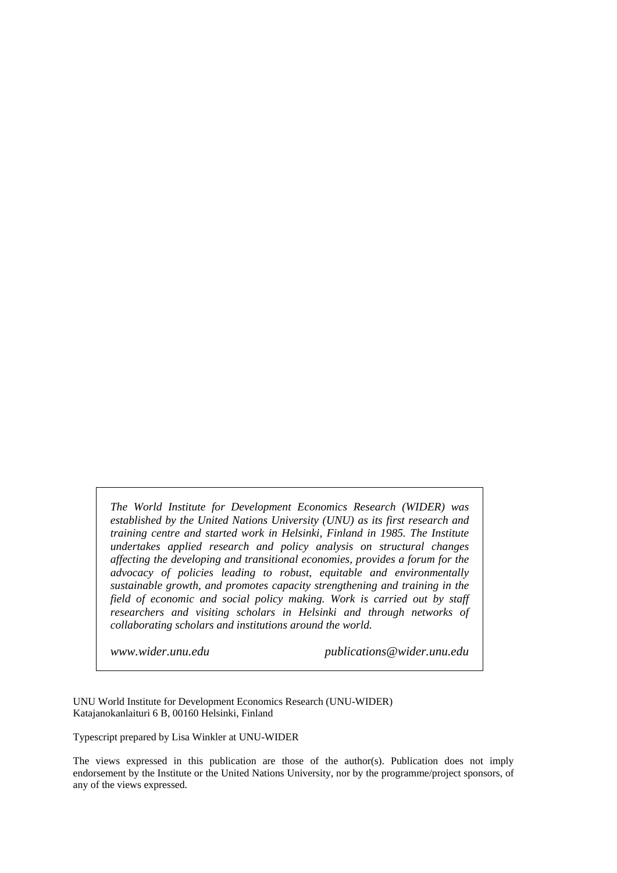*The World Institute for Development Economics Research (WIDER) was established by the United Nations University (UNU) as its first research and training centre and started work in Helsinki, Finland in 1985. The Institute undertakes applied research and policy analysis on structural changes affecting the developing and transitional economies, provides a forum for the advocacy of policies leading to robust, equitable and environmentally sustainable growth, and promotes capacity strengthening and training in the field of economic and social policy making. Work is carried out by staff researchers and visiting scholars in Helsinki and through networks of collaborating scholars and institutions around the world.* 

*www.wider.unu.edu publications@wider.unu.edu* 

UNU World Institute for Development Economics Research (UNU-WIDER) Katajanokanlaituri 6 B, 00160 Helsinki, Finland

Typescript prepared by Lisa Winkler at UNU-WIDER

The views expressed in this publication are those of the author(s). Publication does not imply endorsement by the Institute or the United Nations University, nor by the programme/project sponsors, of any of the views expressed.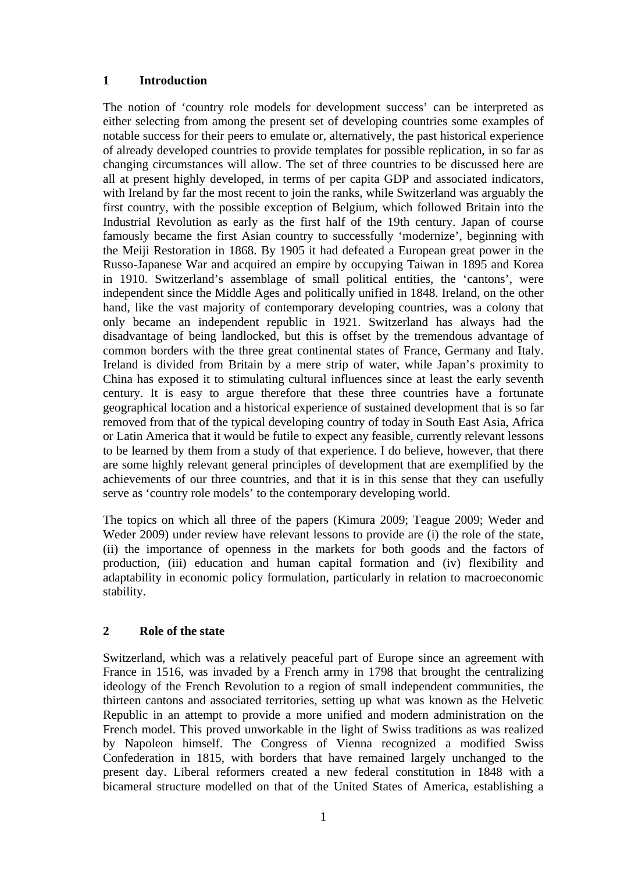## **1 Introduction**

The notion of 'country role models for development success' can be interpreted as either selecting from among the present set of developing countries some examples of notable success for their peers to emulate or, alternatively, the past historical experience of already developed countries to provide templates for possible replication, in so far as changing circumstances will allow. The set of three countries to be discussed here are all at present highly developed, in terms of per capita GDP and associated indicators, with Ireland by far the most recent to join the ranks, while Switzerland was arguably the first country, with the possible exception of Belgium, which followed Britain into the Industrial Revolution as early as the first half of the 19th century. Japan of course famously became the first Asian country to successfully 'modernize', beginning with the Meiji Restoration in 1868. By 1905 it had defeated a European great power in the Russo-Japanese War and acquired an empire by occupying Taiwan in 1895 and Korea in 1910. Switzerland's assemblage of small political entities, the 'cantons', were independent since the Middle Ages and politically unified in 1848. Ireland, on the other hand, like the vast majority of contemporary developing countries, was a colony that only became an independent republic in 1921. Switzerland has always had the disadvantage of being landlocked, but this is offset by the tremendous advantage of common borders with the three great continental states of France, Germany and Italy. Ireland is divided from Britain by a mere strip of water, while Japan's proximity to China has exposed it to stimulating cultural influences since at least the early seventh century. It is easy to argue therefore that these three countries have a fortunate geographical location and a historical experience of sustained development that is so far removed from that of the typical developing country of today in South East Asia, Africa or Latin America that it would be futile to expect any feasible, currently relevant lessons to be learned by them from a study of that experience. I do believe, however, that there are some highly relevant general principles of development that are exemplified by the achievements of our three countries, and that it is in this sense that they can usefully serve as 'country role models' to the contemporary developing world.

The topics on which all three of the papers (Kimura 2009; Teague 2009; Weder and Weder 2009) under review have relevant lessons to provide are (i) the role of the state, (ii) the importance of openness in the markets for both goods and the factors of production, (iii) education and human capital formation and (iv) flexibility and adaptability in economic policy formulation, particularly in relation to macroeconomic stability.

## **2 Role of the state**

Switzerland, which was a relatively peaceful part of Europe since an agreement with France in 1516, was invaded by a French army in 1798 that brought the centralizing ideology of the French Revolution to a region of small independent communities, the thirteen cantons and associated territories, setting up what was known as the Helvetic Republic in an attempt to provide a more unified and modern administration on the French model. This proved unworkable in the light of Swiss traditions as was realized by Napoleon himself. The Congress of Vienna recognized a modified Swiss Confederation in 1815, with borders that have remained largely unchanged to the present day. Liberal reformers created a new federal constitution in 1848 with a bicameral structure modelled on that of the United States of America, establishing a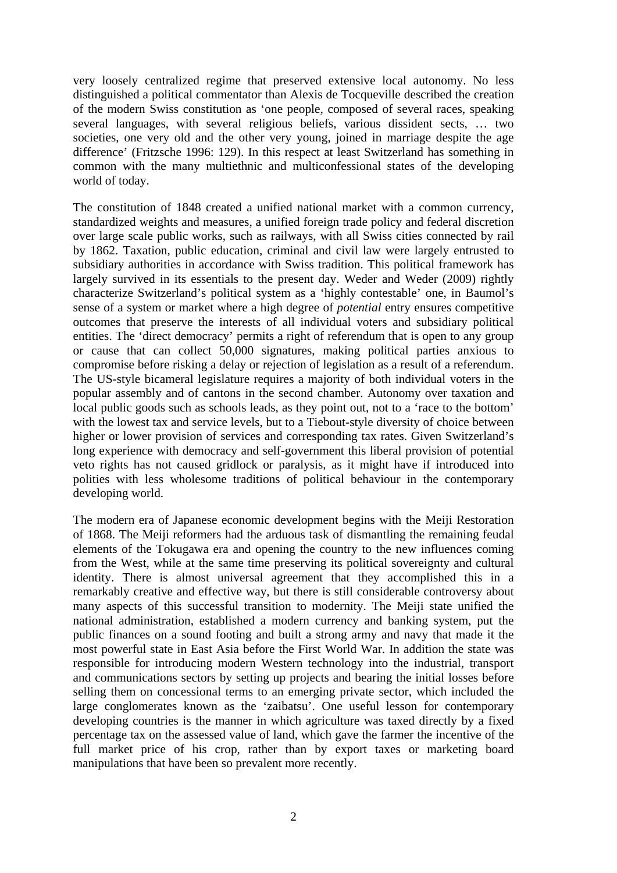very loosely centralized regime that preserved extensive local autonomy. No less distinguished a political commentator than Alexis de Tocqueville described the creation of the modern Swiss constitution as 'one people, composed of several races, speaking several languages, with several religious beliefs, various dissident sects, … two societies, one very old and the other very young, joined in marriage despite the age difference' (Fritzsche 1996: 129). In this respect at least Switzerland has something in common with the many multiethnic and multiconfessional states of the developing world of today.

The constitution of 1848 created a unified national market with a common currency, standardized weights and measures, a unified foreign trade policy and federal discretion over large scale public works, such as railways, with all Swiss cities connected by rail by 1862. Taxation, public education, criminal and civil law were largely entrusted to subsidiary authorities in accordance with Swiss tradition. This political framework has largely survived in its essentials to the present day. Weder and Weder (2009) rightly characterize Switzerland's political system as a 'highly contestable' one, in Baumol's sense of a system or market where a high degree of *potential* entry ensures competitive outcomes that preserve the interests of all individual voters and subsidiary political entities. The 'direct democracy' permits a right of referendum that is open to any group or cause that can collect 50,000 signatures, making political parties anxious to compromise before risking a delay or rejection of legislation as a result of a referendum. The US-style bicameral legislature requires a majority of both individual voters in the popular assembly and of cantons in the second chamber. Autonomy over taxation and local public goods such as schools leads, as they point out, not to a 'race to the bottom' with the lowest tax and service levels, but to a Tiebout-style diversity of choice between higher or lower provision of services and corresponding tax rates. Given Switzerland's long experience with democracy and self-government this liberal provision of potential veto rights has not caused gridlock or paralysis, as it might have if introduced into polities with less wholesome traditions of political behaviour in the contemporary developing world.

The modern era of Japanese economic development begins with the Meiji Restoration of 1868. The Meiji reformers had the arduous task of dismantling the remaining feudal elements of the Tokugawa era and opening the country to the new influences coming from the West, while at the same time preserving its political sovereignty and cultural identity. There is almost universal agreement that they accomplished this in a remarkably creative and effective way, but there is still considerable controversy about many aspects of this successful transition to modernity. The Meiji state unified the national administration, established a modern currency and banking system, put the public finances on a sound footing and built a strong army and navy that made it the most powerful state in East Asia before the First World War. In addition the state was responsible for introducing modern Western technology into the industrial, transport and communications sectors by setting up projects and bearing the initial losses before selling them on concessional terms to an emerging private sector, which included the large conglomerates known as the 'zaibatsu'. One useful lesson for contemporary developing countries is the manner in which agriculture was taxed directly by a fixed percentage tax on the assessed value of land, which gave the farmer the incentive of the full market price of his crop, rather than by export taxes or marketing board manipulations that have been so prevalent more recently.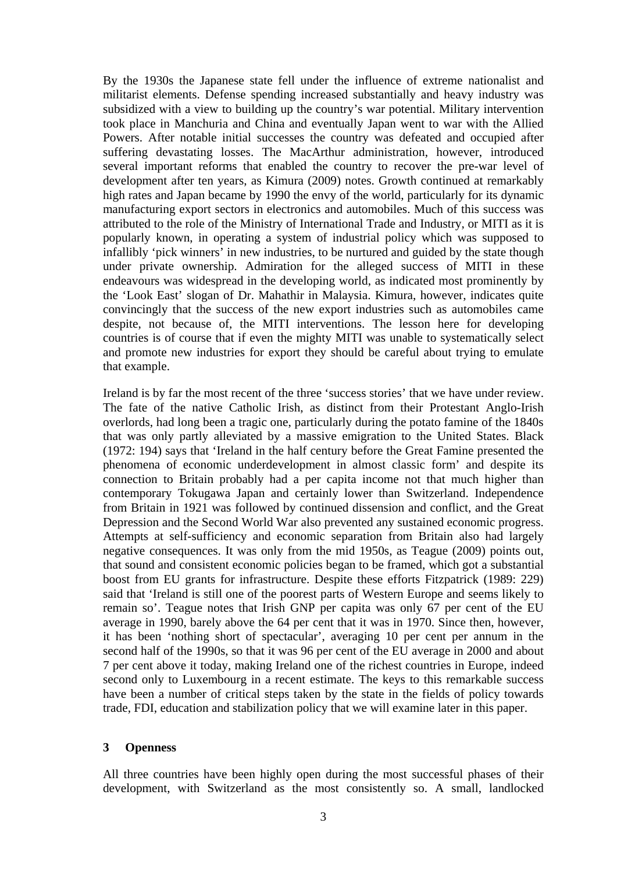By the 1930s the Japanese state fell under the influence of extreme nationalist and militarist elements. Defense spending increased substantially and heavy industry was subsidized with a view to building up the country's war potential. Military intervention took place in Manchuria and China and eventually Japan went to war with the Allied Powers. After notable initial successes the country was defeated and occupied after suffering devastating losses. The MacArthur administration, however, introduced several important reforms that enabled the country to recover the pre-war level of development after ten years, as Kimura (2009) notes. Growth continued at remarkably high rates and Japan became by 1990 the envy of the world, particularly for its dynamic manufacturing export sectors in electronics and automobiles. Much of this success was attributed to the role of the Ministry of International Trade and Industry, or MITI as it is popularly known, in operating a system of industrial policy which was supposed to infallibly 'pick winners' in new industries, to be nurtured and guided by the state though under private ownership. Admiration for the alleged success of MITI in these endeavours was widespread in the developing world, as indicated most prominently by the 'Look East' slogan of Dr. Mahathir in Malaysia. Kimura, however, indicates quite convincingly that the success of the new export industries such as automobiles came despite, not because of, the MITI interventions. The lesson here for developing countries is of course that if even the mighty MITI was unable to systematically select and promote new industries for export they should be careful about trying to emulate that example.

Ireland is by far the most recent of the three 'success stories' that we have under review. The fate of the native Catholic Irish, as distinct from their Protestant Anglo-Irish overlords, had long been a tragic one, particularly during the potato famine of the 1840s that was only partly alleviated by a massive emigration to the United States. Black (1972: 194) says that 'Ireland in the half century before the Great Famine presented the phenomena of economic underdevelopment in almost classic form' and despite its connection to Britain probably had a per capita income not that much higher than contemporary Tokugawa Japan and certainly lower than Switzerland. Independence from Britain in 1921 was followed by continued dissension and conflict, and the Great Depression and the Second World War also prevented any sustained economic progress. Attempts at self-sufficiency and economic separation from Britain also had largely negative consequences. It was only from the mid 1950s, as Teague (2009) points out, that sound and consistent economic policies began to be framed, which got a substantial boost from EU grants for infrastructure. Despite these efforts Fitzpatrick (1989: 229) said that 'Ireland is still one of the poorest parts of Western Europe and seems likely to remain so'. Teague notes that Irish GNP per capita was only 67 per cent of the EU average in 1990, barely above the 64 per cent that it was in 1970. Since then, however, it has been 'nothing short of spectacular', averaging 10 per cent per annum in the second half of the 1990s, so that it was 96 per cent of the EU average in 2000 and about 7 per cent above it today, making Ireland one of the richest countries in Europe, indeed second only to Luxembourg in a recent estimate. The keys to this remarkable success have been a number of critical steps taken by the state in the fields of policy towards trade, FDI, education and stabilization policy that we will examine later in this paper.

#### **3 Openness**

All three countries have been highly open during the most successful phases of their development, with Switzerland as the most consistently so. A small, landlocked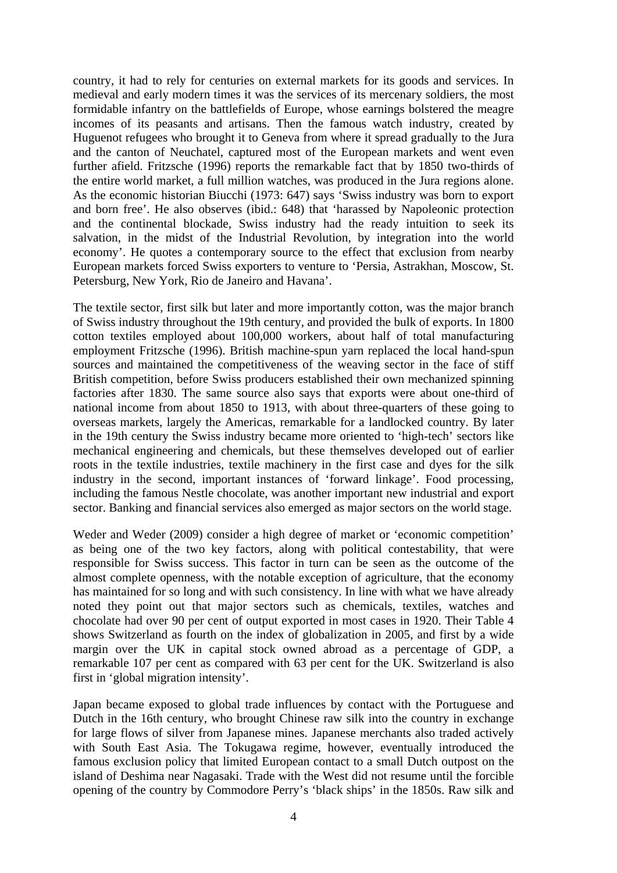country, it had to rely for centuries on external markets for its goods and services. In medieval and early modern times it was the services of its mercenary soldiers, the most formidable infantry on the battlefields of Europe, whose earnings bolstered the meagre incomes of its peasants and artisans. Then the famous watch industry, created by Huguenot refugees who brought it to Geneva from where it spread gradually to the Jura and the canton of Neuchatel, captured most of the European markets and went even further afield. Fritzsche (1996) reports the remarkable fact that by 1850 two-thirds of the entire world market, a full million watches, was produced in the Jura regions alone. As the economic historian Biucchi (1973: 647) says 'Swiss industry was born to export and born free'. He also observes (ibid.: 648) that 'harassed by Napoleonic protection and the continental blockade, Swiss industry had the ready intuition to seek its salvation, in the midst of the Industrial Revolution, by integration into the world economy'. He quotes a contemporary source to the effect that exclusion from nearby European markets forced Swiss exporters to venture to 'Persia, Astrakhan, Moscow, St. Petersburg, New York, Rio de Janeiro and Havana'.

The textile sector, first silk but later and more importantly cotton, was the major branch of Swiss industry throughout the 19th century, and provided the bulk of exports. In 1800 cotton textiles employed about 100,000 workers, about half of total manufacturing employment Fritzsche (1996). British machine-spun yarn replaced the local hand-spun sources and maintained the competitiveness of the weaving sector in the face of stiff British competition, before Swiss producers established their own mechanized spinning factories after 1830. The same source also says that exports were about one-third of national income from about 1850 to 1913, with about three-quarters of these going to overseas markets, largely the Americas, remarkable for a landlocked country. By later in the 19th century the Swiss industry became more oriented to 'high-tech' sectors like mechanical engineering and chemicals, but these themselves developed out of earlier roots in the textile industries, textile machinery in the first case and dyes for the silk industry in the second, important instances of 'forward linkage'. Food processing, including the famous Nestle chocolate, was another important new industrial and export sector. Banking and financial services also emerged as major sectors on the world stage.

Weder and Weder (2009) consider a high degree of market or 'economic competition' as being one of the two key factors, along with political contestability, that were responsible for Swiss success. This factor in turn can be seen as the outcome of the almost complete openness, with the notable exception of agriculture, that the economy has maintained for so long and with such consistency. In line with what we have already noted they point out that major sectors such as chemicals, textiles, watches and chocolate had over 90 per cent of output exported in most cases in 1920. Their Table 4 shows Switzerland as fourth on the index of globalization in 2005, and first by a wide margin over the UK in capital stock owned abroad as a percentage of GDP, a remarkable 107 per cent as compared with 63 per cent for the UK. Switzerland is also first in 'global migration intensity'.

Japan became exposed to global trade influences by contact with the Portuguese and Dutch in the 16th century, who brought Chinese raw silk into the country in exchange for large flows of silver from Japanese mines. Japanese merchants also traded actively with South East Asia. The Tokugawa regime, however, eventually introduced the famous exclusion policy that limited European contact to a small Dutch outpost on the island of Deshima near Nagasaki. Trade with the West did not resume until the forcible opening of the country by Commodore Perry's 'black ships' in the 1850s. Raw silk and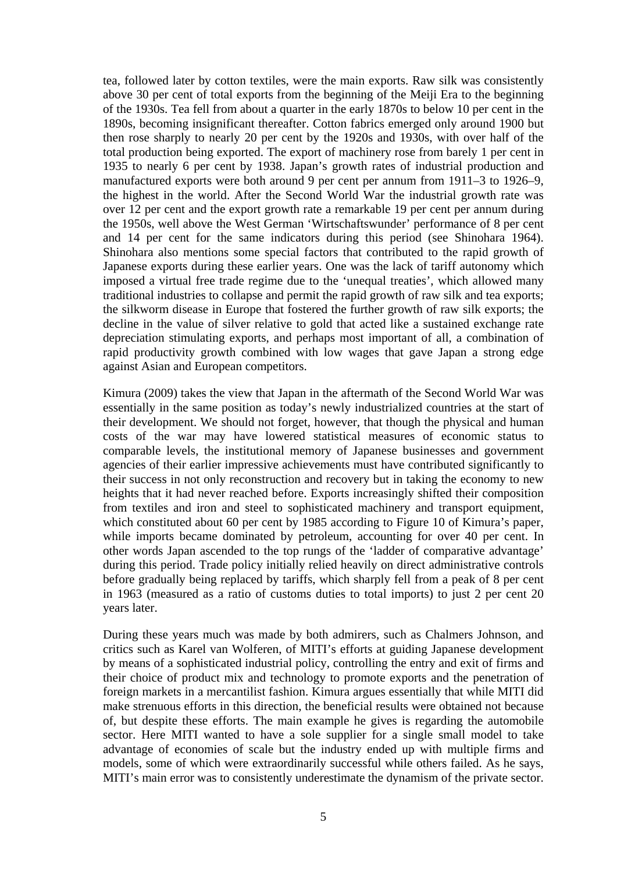tea, followed later by cotton textiles, were the main exports. Raw silk was consistently above 30 per cent of total exports from the beginning of the Meiji Era to the beginning of the 1930s. Tea fell from about a quarter in the early 1870s to below 10 per cent in the 1890s, becoming insignificant thereafter. Cotton fabrics emerged only around 1900 but then rose sharply to nearly 20 per cent by the 1920s and 1930s, with over half of the total production being exported. The export of machinery rose from barely 1 per cent in 1935 to nearly 6 per cent by 1938. Japan's growth rates of industrial production and manufactured exports were both around 9 per cent per annum from 1911–3 to 1926–9, the highest in the world. After the Second World War the industrial growth rate was over 12 per cent and the export growth rate a remarkable 19 per cent per annum during the 1950s, well above the West German 'Wirtschaftswunder' performance of 8 per cent and 14 per cent for the same indicators during this period (see Shinohara 1964). Shinohara also mentions some special factors that contributed to the rapid growth of Japanese exports during these earlier years. One was the lack of tariff autonomy which imposed a virtual free trade regime due to the 'unequal treaties', which allowed many traditional industries to collapse and permit the rapid growth of raw silk and tea exports; the silkworm disease in Europe that fostered the further growth of raw silk exports; the decline in the value of silver relative to gold that acted like a sustained exchange rate depreciation stimulating exports, and perhaps most important of all, a combination of rapid productivity growth combined with low wages that gave Japan a strong edge against Asian and European competitors.

Kimura (2009) takes the view that Japan in the aftermath of the Second World War was essentially in the same position as today's newly industrialized countries at the start of their development. We should not forget, however, that though the physical and human costs of the war may have lowered statistical measures of economic status to comparable levels, the institutional memory of Japanese businesses and government agencies of their earlier impressive achievements must have contributed significantly to their success in not only reconstruction and recovery but in taking the economy to new heights that it had never reached before. Exports increasingly shifted their composition from textiles and iron and steel to sophisticated machinery and transport equipment, which constituted about 60 per cent by 1985 according to Figure 10 of Kimura's paper, while imports became dominated by petroleum, accounting for over 40 per cent. In other words Japan ascended to the top rungs of the 'ladder of comparative advantage' during this period. Trade policy initially relied heavily on direct administrative controls before gradually being replaced by tariffs, which sharply fell from a peak of 8 per cent in 1963 (measured as a ratio of customs duties to total imports) to just 2 per cent 20 years later.

During these years much was made by both admirers, such as Chalmers Johnson, and critics such as Karel van Wolferen, of MITI's efforts at guiding Japanese development by means of a sophisticated industrial policy, controlling the entry and exit of firms and their choice of product mix and technology to promote exports and the penetration of foreign markets in a mercantilist fashion. Kimura argues essentially that while MITI did make strenuous efforts in this direction, the beneficial results were obtained not because of, but despite these efforts. The main example he gives is regarding the automobile sector. Here MITI wanted to have a sole supplier for a single small model to take advantage of economies of scale but the industry ended up with multiple firms and models, some of which were extraordinarily successful while others failed. As he says, MITI's main error was to consistently underestimate the dynamism of the private sector.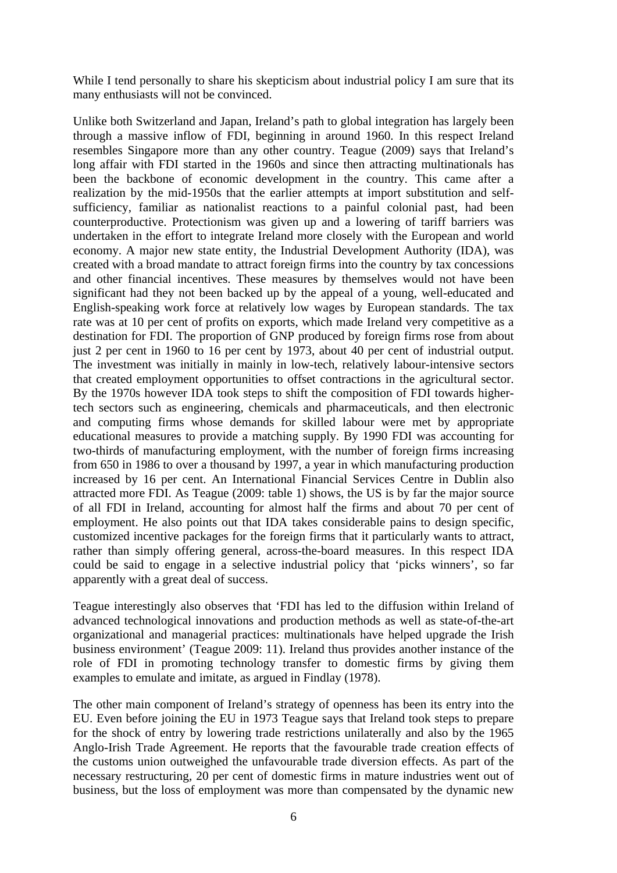While I tend personally to share his skepticism about industrial policy I am sure that its many enthusiasts will not be convinced.

Unlike both Switzerland and Japan, Ireland's path to global integration has largely been through a massive inflow of FDI, beginning in around 1960. In this respect Ireland resembles Singapore more than any other country. Teague (2009) says that Ireland's long affair with FDI started in the 1960s and since then attracting multinationals has been the backbone of economic development in the country. This came after a realization by the mid-1950s that the earlier attempts at import substitution and selfsufficiency, familiar as nationalist reactions to a painful colonial past, had been counterproductive. Protectionism was given up and a lowering of tariff barriers was undertaken in the effort to integrate Ireland more closely with the European and world economy. A major new state entity, the Industrial Development Authority (IDA), was created with a broad mandate to attract foreign firms into the country by tax concessions and other financial incentives. These measures by themselves would not have been significant had they not been backed up by the appeal of a young, well-educated and English-speaking work force at relatively low wages by European standards. The tax rate was at 10 per cent of profits on exports, which made Ireland very competitive as a destination for FDI. The proportion of GNP produced by foreign firms rose from about just 2 per cent in 1960 to 16 per cent by 1973, about 40 per cent of industrial output. The investment was initially in mainly in low-tech, relatively labour-intensive sectors that created employment opportunities to offset contractions in the agricultural sector. By the 1970s however IDA took steps to shift the composition of FDI towards highertech sectors such as engineering, chemicals and pharmaceuticals, and then electronic and computing firms whose demands for skilled labour were met by appropriate educational measures to provide a matching supply. By 1990 FDI was accounting for two-thirds of manufacturing employment, with the number of foreign firms increasing from 650 in 1986 to over a thousand by 1997, a year in which manufacturing production increased by 16 per cent. An International Financial Services Centre in Dublin also attracted more FDI. As Teague (2009: table 1) shows, the US is by far the major source of all FDI in Ireland, accounting for almost half the firms and about 70 per cent of employment. He also points out that IDA takes considerable pains to design specific, customized incentive packages for the foreign firms that it particularly wants to attract, rather than simply offering general, across-the-board measures. In this respect IDA could be said to engage in a selective industrial policy that 'picks winners', so far apparently with a great deal of success.

Teague interestingly also observes that 'FDI has led to the diffusion within Ireland of advanced technological innovations and production methods as well as state-of-the-art organizational and managerial practices: multinationals have helped upgrade the Irish business environment' (Teague 2009: 11). Ireland thus provides another instance of the role of FDI in promoting technology transfer to domestic firms by giving them examples to emulate and imitate, as argued in Findlay (1978).

The other main component of Ireland's strategy of openness has been its entry into the EU. Even before joining the EU in 1973 Teague says that Ireland took steps to prepare for the shock of entry by lowering trade restrictions unilaterally and also by the 1965 Anglo-Irish Trade Agreement. He reports that the favourable trade creation effects of the customs union outweighed the unfavourable trade diversion effects. As part of the necessary restructuring, 20 per cent of domestic firms in mature industries went out of business, but the loss of employment was more than compensated by the dynamic new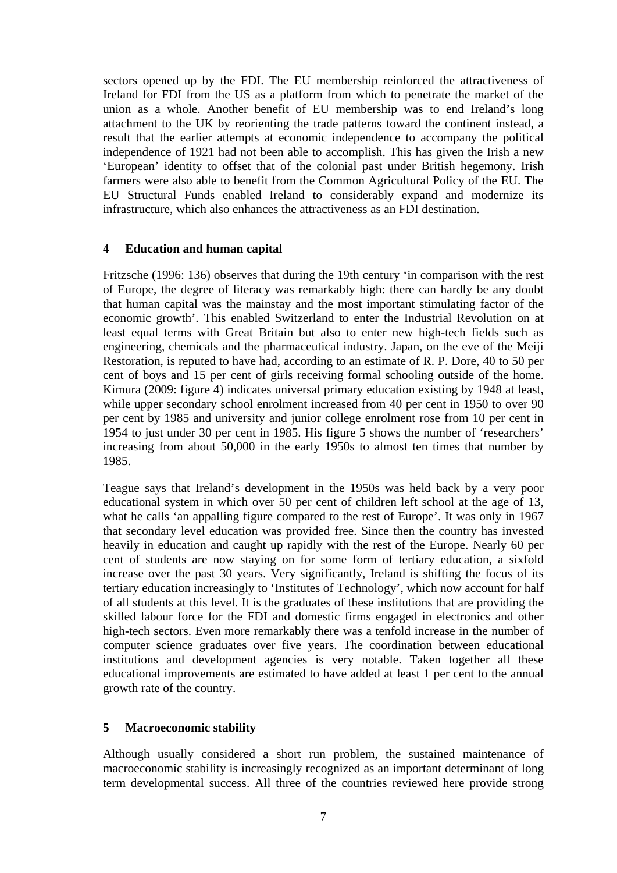sectors opened up by the FDI. The EU membership reinforced the attractiveness of Ireland for FDI from the US as a platform from which to penetrate the market of the union as a whole. Another benefit of EU membership was to end Ireland's long attachment to the UK by reorienting the trade patterns toward the continent instead, a result that the earlier attempts at economic independence to accompany the political independence of 1921 had not been able to accomplish. This has given the Irish a new 'European' identity to offset that of the colonial past under British hegemony. Irish farmers were also able to benefit from the Common Agricultural Policy of the EU. The EU Structural Funds enabled Ireland to considerably expand and modernize its infrastructure, which also enhances the attractiveness as an FDI destination.

### **4 Education and human capital**

Fritzsche (1996: 136) observes that during the 19th century 'in comparison with the rest of Europe, the degree of literacy was remarkably high: there can hardly be any doubt that human capital was the mainstay and the most important stimulating factor of the economic growth'. This enabled Switzerland to enter the Industrial Revolution on at least equal terms with Great Britain but also to enter new high-tech fields such as engineering, chemicals and the pharmaceutical industry. Japan, on the eve of the Meiji Restoration, is reputed to have had, according to an estimate of R. P. Dore, 40 to 50 per cent of boys and 15 per cent of girls receiving formal schooling outside of the home. Kimura (2009: figure 4) indicates universal primary education existing by 1948 at least, while upper secondary school enrolment increased from 40 per cent in 1950 to over 90 per cent by 1985 and university and junior college enrolment rose from 10 per cent in 1954 to just under 30 per cent in 1985. His figure 5 shows the number of 'researchers' increasing from about 50,000 in the early 1950s to almost ten times that number by 1985.

Teague says that Ireland's development in the 1950s was held back by a very poor educational system in which over 50 per cent of children left school at the age of 13, what he calls 'an appalling figure compared to the rest of Europe'. It was only in 1967 that secondary level education was provided free. Since then the country has invested heavily in education and caught up rapidly with the rest of the Europe. Nearly 60 per cent of students are now staying on for some form of tertiary education, a sixfold increase over the past 30 years. Very significantly, Ireland is shifting the focus of its tertiary education increasingly to 'Institutes of Technology', which now account for half of all students at this level. It is the graduates of these institutions that are providing the skilled labour force for the FDI and domestic firms engaged in electronics and other high-tech sectors. Even more remarkably there was a tenfold increase in the number of computer science graduates over five years. The coordination between educational institutions and development agencies is very notable. Taken together all these educational improvements are estimated to have added at least 1 per cent to the annual growth rate of the country.

## **5 Macroeconomic stability**

Although usually considered a short run problem, the sustained maintenance of macroeconomic stability is increasingly recognized as an important determinant of long term developmental success. All three of the countries reviewed here provide strong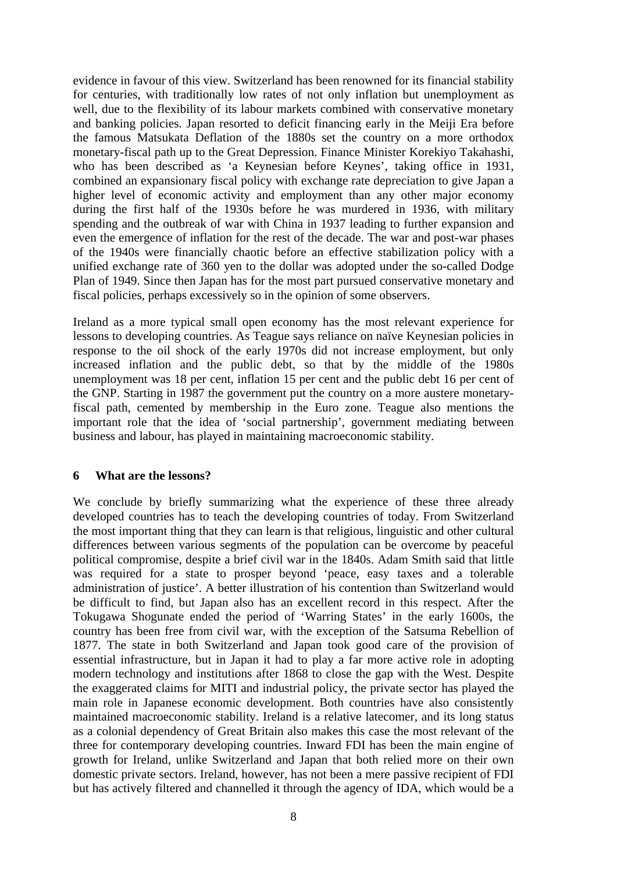evidence in favour of this view. Switzerland has been renowned for its financial stability for centuries, with traditionally low rates of not only inflation but unemployment as well, due to the flexibility of its labour markets combined with conservative monetary and banking policies. Japan resorted to deficit financing early in the Meiji Era before the famous Matsukata Deflation of the 1880s set the country on a more orthodox monetary-fiscal path up to the Great Depression. Finance Minister Korekiyo Takahashi, who has been described as 'a Keynesian before Keynes', taking office in 1931, combined an expansionary fiscal policy with exchange rate depreciation to give Japan a higher level of economic activity and employment than any other major economy during the first half of the 1930s before he was murdered in 1936, with military spending and the outbreak of war with China in 1937 leading to further expansion and even the emergence of inflation for the rest of the decade. The war and post-war phases of the 1940s were financially chaotic before an effective stabilization policy with a unified exchange rate of 360 yen to the dollar was adopted under the so-called Dodge Plan of 1949. Since then Japan has for the most part pursued conservative monetary and fiscal policies, perhaps excessively so in the opinion of some observers.

Ireland as a more typical small open economy has the most relevant experience for lessons to developing countries. As Teague says reliance on naïve Keynesian policies in response to the oil shock of the early 1970s did not increase employment, but only increased inflation and the public debt, so that by the middle of the 1980s unemployment was 18 per cent, inflation 15 per cent and the public debt 16 per cent of the GNP. Starting in 1987 the government put the country on a more austere monetaryfiscal path, cemented by membership in the Euro zone. Teague also mentions the important role that the idea of 'social partnership', government mediating between business and labour, has played in maintaining macroeconomic stability.

### **6 What are the lessons?**

We conclude by briefly summarizing what the experience of these three already developed countries has to teach the developing countries of today. From Switzerland the most important thing that they can learn is that religious, linguistic and other cultural differences between various segments of the population can be overcome by peaceful political compromise, despite a brief civil war in the 1840s. Adam Smith said that little was required for a state to prosper beyond 'peace, easy taxes and a tolerable administration of justice'. A better illustration of his contention than Switzerland would be difficult to find, but Japan also has an excellent record in this respect. After the Tokugawa Shogunate ended the period of 'Warring States' in the early 1600s, the country has been free from civil war, with the exception of the Satsuma Rebellion of 1877. The state in both Switzerland and Japan took good care of the provision of essential infrastructure, but in Japan it had to play a far more active role in adopting modern technology and institutions after 1868 to close the gap with the West. Despite the exaggerated claims for MITI and industrial policy, the private sector has played the main role in Japanese economic development. Both countries have also consistently maintained macroeconomic stability. Ireland is a relative latecomer, and its long status as a colonial dependency of Great Britain also makes this case the most relevant of the three for contemporary developing countries. Inward FDI has been the main engine of growth for Ireland, unlike Switzerland and Japan that both relied more on their own domestic private sectors. Ireland, however, has not been a mere passive recipient of FDI but has actively filtered and channelled it through the agency of IDA, which would be a